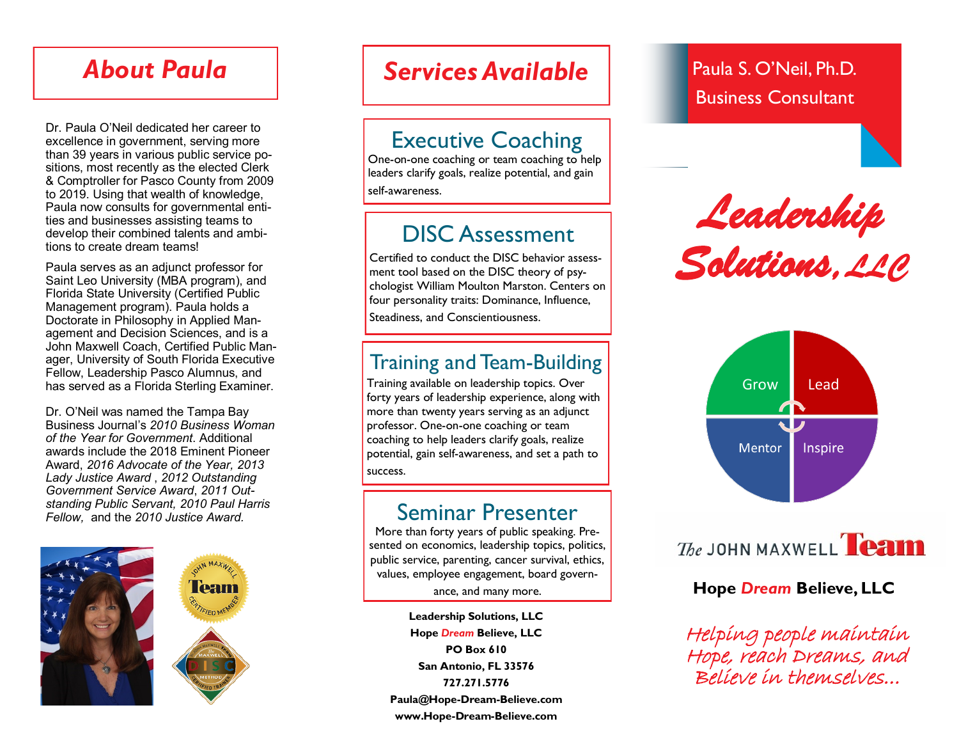# *About Paula*

Dr. Paula O'Neil dedicated her career to excellence in government, serving more than 39 years in various public service positions, most recently as the elected Clerk & Comptroller for Pasco County from 2009 to 2019. Using that wealth of knowledge, Paula now consults for governmental entities and businesses assisting teams to develop their combined talents and ambitions to create dream teams!

Paula serves as an adjunct professor for Saint Leo University (MBA program), and Florida State University (Certified Public Management program). Paula holds a Doctorate in Philosophy in Applied Management and Decision Sciences, and is a John Maxwell Coach, Certified Public Manager, University of South Florida Executive Fellow, Leadership Pasco Alumnus, and has served as a Florida Sterling Examiner.

Dr. O'Neil was named the Tampa Bay Business Journal's *2010 Business Woman of the Year for Government*. Additional awards include the 2018 Eminent Pioneer Award, *2016 Advocate of the Year, 2013 Lady Justice Award* , *2012 Outstanding Government Service Award*, *2011 Outstanding Public Servant, 2010 Paul Harris Fellow,* and the *2010 Justice Award.*





# **Services Available Paula S. O'Neil, Ph.D.**

## Executive Coaching

One-on-one coaching or team coaching to help leaders clarify goals, realize potential, and gain self-awareness.

## DISC Assessment

Certified to conduct the DISC behavior assessment tool based on the DISC theory of psychologist William Moulton Marston. Centers on four personality traits: Dominance, Influence, Steadiness, and Conscientiousness.

## Training and Team-Building

Training available on leadership topics. Over forty years of leadership experience, along with more than twenty years serving as an adjunct professor. One-on-one coaching or team coaching to help leaders clarify goals, realize potential, gain self-awareness, and set a path to success.

## Seminar Presenter

More than forty years of public speaking. Presented on economics, leadership topics, politics, public service, parenting, cancer survival, ethics, values, employee engagement, board govern-

**Leadership Solutions, LLC Hope** *Dream* **Believe, LLC PO Box 610 San Antonio, FL 33576 727.271.5776 Paula@Hope-Dream-Believe.com www.Hope-Dream-Believe.com**

# Business Consultant

*Leadership Solutions,LLC* 



The JOHN MAXWELL **Team** 

## ance, and many more. **Hope** *Dream* **Believe, LLC**

Helping people maintain Hope, reach Dreams, and Believe in themselves...